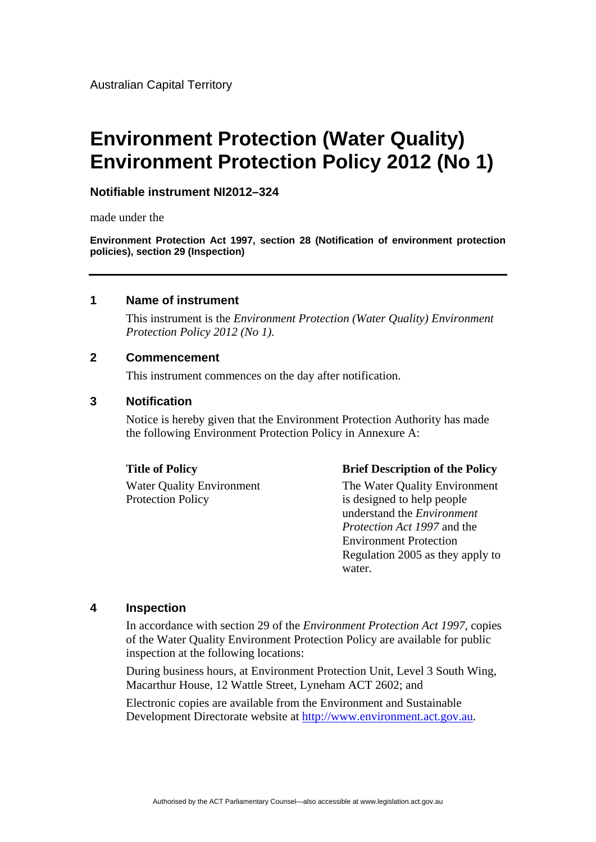# **Environment Protection (Water Quality) Environment Protection Policy 2012 (No 1)**

### **Notifiable instrument NI2012–324**

made under the

**Environment Protection Act 1997, section 28 (Notification of environment protection policies), section 29 (Inspection)**

#### **1 Name of instrument**

This instrument is the *Environment Protection (Water Quality) Environment Protection Policy 2012 (No 1)*.

#### **2 Commencement**

This instrument commences on the day after notification.

#### **3 Notification**

Notice is hereby given that the Environment Protection Authority has made the following Environment Protection Policy in Annexure A:

Protection Policy is designed to help people

#### **Title of Policy Brief Description of the Policy**

Water Quality Environment The Water Quality Environment understand the *Environment Protection Act 1997* and the Environment Protection Regulation 2005 as they apply to water.

#### **4 Inspection**

In accordance with section 29 of the *Environment Protection Act 1997*, copies of the Water Quality Environment Protection Policy are available for public inspection at the following locations:

During business hours, at Environment Protection Unit, Level 3 South Wing, Macarthur House, 12 Wattle Street, Lyneham ACT 2602; and

Electronic copies are available from the Environment and Sustainable Development Directorate website at [http://www.environment.act.gov.au.](http://www.environment.act.gov.au/)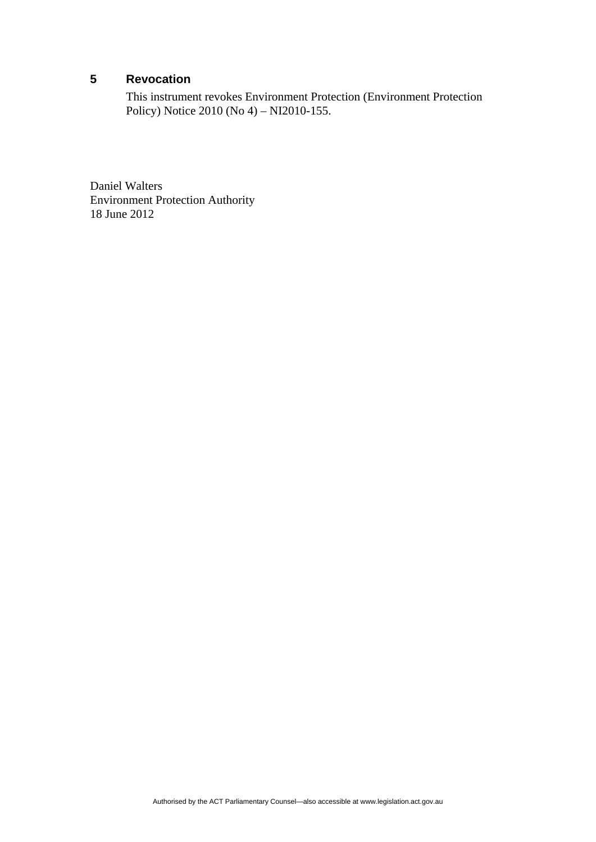### **5 Revocation**

This instrument revokes Environment Protection (Environment Protection Policy) Notice 2010 (No 4) – NI2010-155.

Daniel Walters Environment Protection Authority 18 June 2012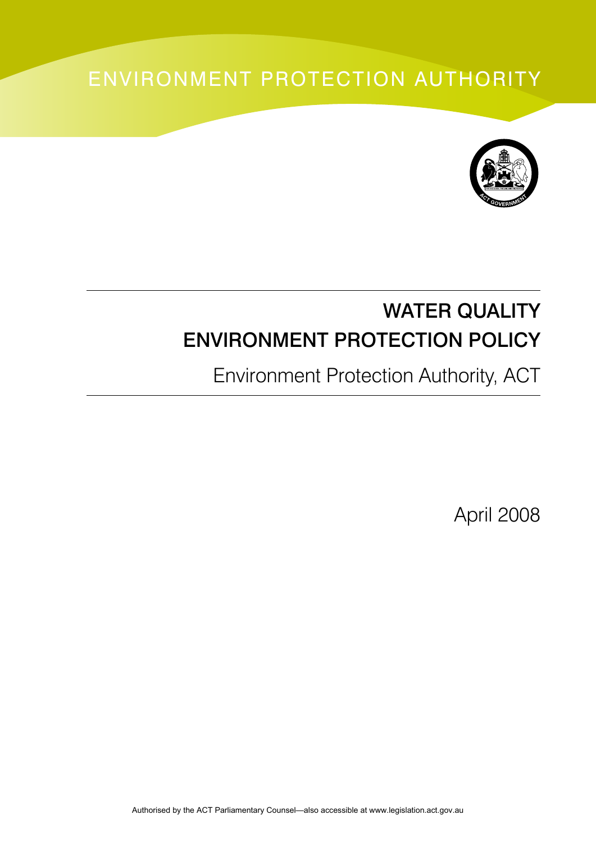# ENVIRONMENT PROTECTION AUTHORITY



# WATER QUALITY ENVIRONMENT PROTECTION POLICY

Environment Protection Authority, ACT

April 2008

Authorised by the ACT Parliamentary Counsel—also accessible at www.legislation.act.gov.au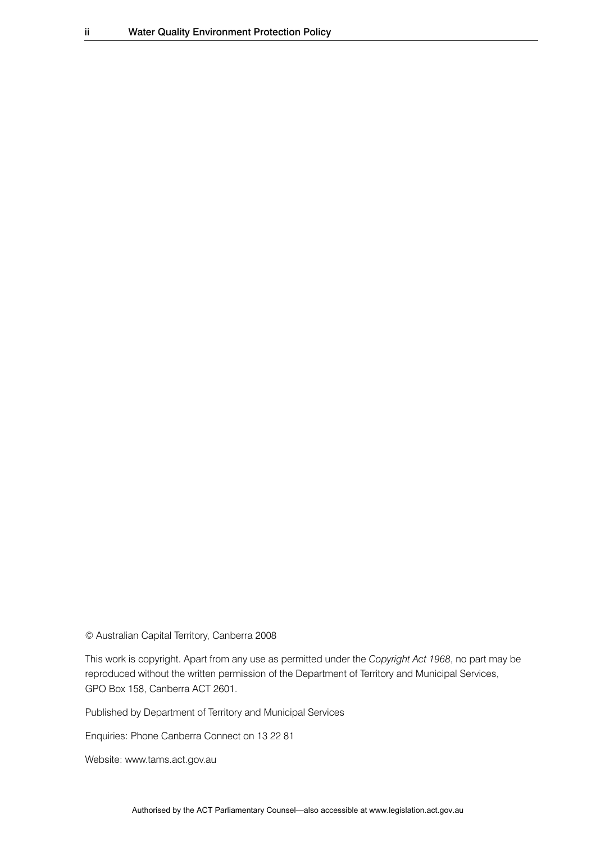© Australian Capital Territory, Canberra 2008

This work is copyright. Apart from any use as permitted under the *Copyright Act 1968*, no part may be reproduced without the written permission of the Department of Territory and Municipal Services, GPO Box 158, Canberra ACT 2601.

Published by Department of Territory and Municipal Services

Enquiries: Phone Canberra Connect on 13 22 81

Website: www.tams.act.gov.au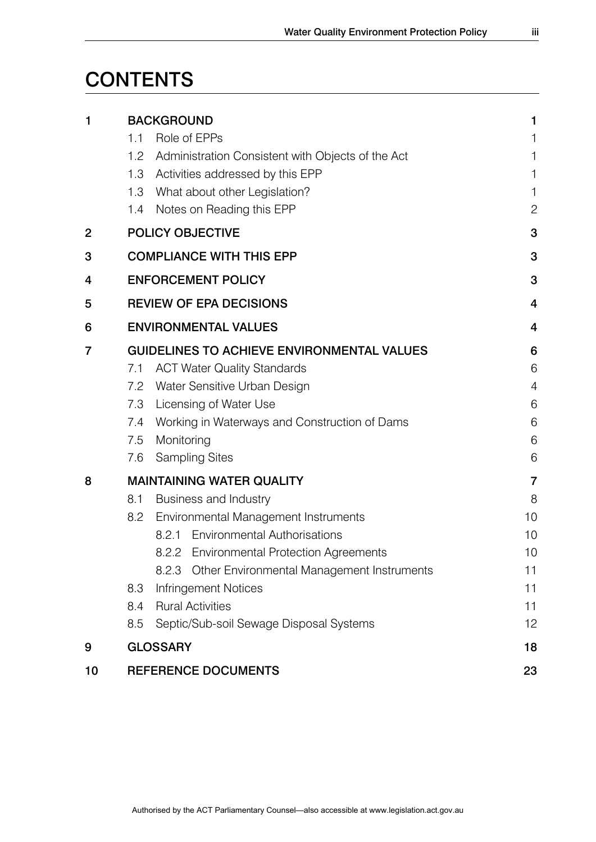# **CONTENTS**

| 1  | <b>BACKGROUND</b>                                     | 1              |  |
|----|-------------------------------------------------------|----------------|--|
|    | Role of EPPs<br>1.1                                   | 1              |  |
|    | 1.2 Administration Consistent with Objects of the Act | 1              |  |
|    | Activities addressed by this EPP<br>1.3               | 1              |  |
|    | 1.3 What about other Legislation?                     | 1              |  |
|    | Notes on Reading this EPP<br>1.4                      | $\overline{c}$ |  |
| 2  | <b>POLICY OBJECTIVE</b>                               |                |  |
| 3  | <b>COMPLIANCE WITH THIS EPP</b>                       | 3              |  |
| 4  | <b>ENFORCEMENT POLICY</b>                             | 3              |  |
| 5  | <b>REVIEW OF EPA DECISIONS</b>                        | $\overline{4}$ |  |
| 6  | <b>ENVIRONMENTAL VALUES</b>                           | $\overline{4}$ |  |
| 7  | <b>GUIDELINES TO ACHIEVE ENVIRONMENTAL VALUES</b>     | 6              |  |
|    | <b>ACT Water Quality Standards</b><br>7.1             | 6              |  |
|    | Water Sensitive Urban Design<br>7.2                   | $\overline{4}$ |  |
|    | 7.3<br>Licensing of Water Use                         | 6              |  |
|    | Working in Waterways and Construction of Dams<br>7.4  | 6              |  |
|    | Monitoring<br>7.5                                     | 6              |  |
|    | <b>Sampling Sites</b><br>7.6                          | 6              |  |
| 8  | <b>MAINTAINING WATER QUALITY</b>                      | 7              |  |
|    | Business and Industry<br>8.1                          | 8              |  |
|    | <b>Environmental Management Instruments</b><br>8.2    | 10             |  |
|    | Environmental Authorisations<br>8.2.1                 | 10             |  |
|    | 8.2.2 Environmental Protection Agreements             | 10             |  |
|    | Other Environmental Management Instruments<br>8.2.3   | 11             |  |
|    | 8.3<br>Infringement Notices                           | 11             |  |
|    | <b>Rural Activities</b><br>8.4                        | 11             |  |
|    | Septic/Sub-soil Sewage Disposal Systems<br>8.5        | 12             |  |
| 9  | <b>GLOSSARY</b>                                       | 18             |  |
| 10 | REFERENCE DOCUMENTS                                   | 23             |  |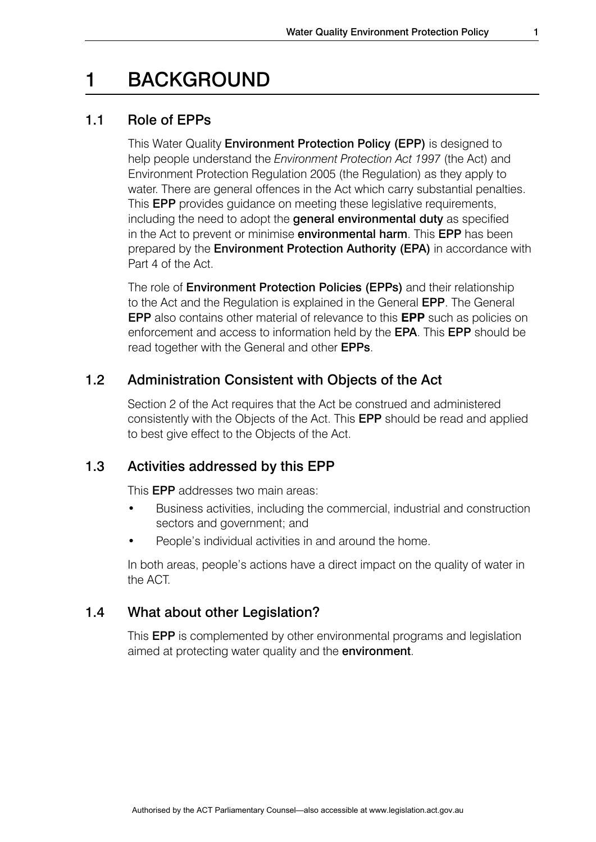### 1 BACKGROUND

### 1.1 Role of EPPs

This Water Quality Environment Protection Policy (EPP) is designed to help people understand the *Environment Protection Act 1997* (the Act) and Environment Protection Regulation 2005 (the Regulation) as they apply to water. There are general offences in the Act which carry substantial penalties. This EPP provides guidance on meeting these legislative requirements, including the need to adopt the general environmental duty as specified in the Act to prevent or minimise **environmental harm**. This **EPP** has been prepared by the Environment Protection Authority (EPA) in accordance with Part 4 of the Act.

The role of Environment Protection Policies (EPPs) and their relationship to the Act and the Regulation is explained in the General EPP. The General EPP also contains other material of relevance to this **EPP** such as policies on enforcement and access to information held by the EPA. This EPP should be read together with the General and other EPPs.

### 1.2 Administration Consistent with Objects of the Act

Section 2 of the Act requires that the Act be construed and administered consistently with the Objects of the Act. This EPP should be read and applied to best give effect to the Objects of the Act.

### 1.3 Activities addressed by this EPP

This EPP addresses two main areas:

- Business activities, including the commercial, industrial and construction sectors and government; and
- People's individual activities in and around the home.

 In both areas, people's actions have a direct impact on the quality of water in the ACT.

### 1.4 What about other Legislation?

This EPP is complemented by other environmental programs and legislation aimed at protecting water quality and the environment.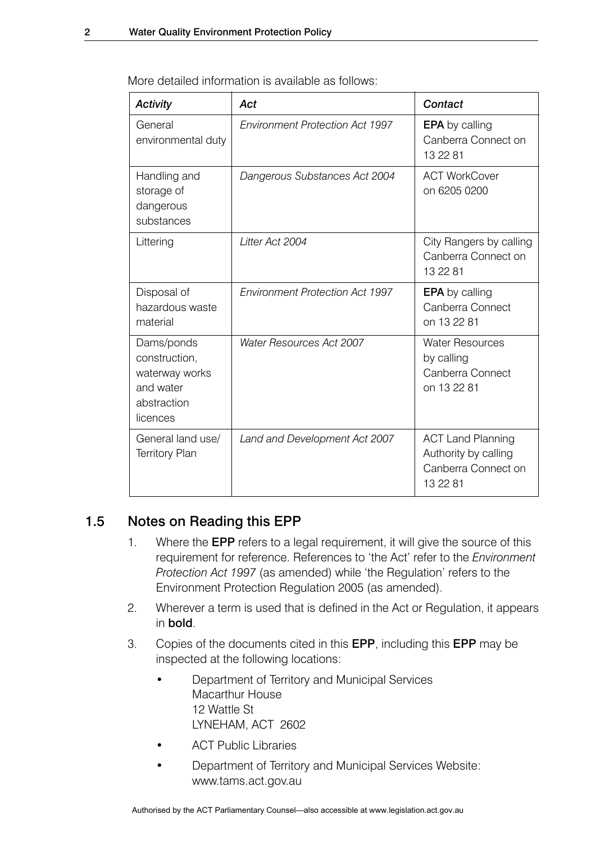| <b>Activity</b>                                                                       | Act                                    | Contact                                                                             |
|---------------------------------------------------------------------------------------|----------------------------------------|-------------------------------------------------------------------------------------|
| General<br>environmental duty                                                         | <b>Environment Protection Act 1997</b> | <b>EPA</b> by calling<br>Canberra Connect on<br>13 22 81                            |
| Handling and<br>storage of<br>dangerous<br>substances                                 | Dangerous Substances Act 2004          | <b>ACT WorkCover</b><br>on 6205 0200                                                |
| Littering                                                                             | Litter Act 2004                        | City Rangers by calling<br>Canberra Connect on<br>13 22 81                          |
| Disposal of<br>hazardous waste<br>material                                            | <b>Environment Protection Act 1997</b> | <b>EPA</b> by calling<br>Canberra Connect<br>on 13 22 81                            |
| Dams/ponds<br>construction,<br>waterway works<br>and water<br>abstraction<br>licences | <b>Water Resources Act 2007</b>        | <b>Water Resources</b><br>by calling<br>Canberra Connect<br>on 13 22 81             |
| General land use/<br><b>Territory Plan</b>                                            | Land and Development Act 2007          | <b>ACT Land Planning</b><br>Authority by calling<br>Canberra Connect on<br>13 22 81 |

More detailed information is available as follows:

### 1.5 Notes on Reading this EPP

- 1. Where the EPP refers to a legal requirement, it will give the source of this requirement for reference. References to 'the Act' refer to the *Environment Protection Act 1997* (as amended) while 'the Regulation' refers to the Environment Protection Regulation 2005 (as amended).
- 2. Wherever a term is used that is defined in the Act or Regulation, it appears in bold.
- 3. Copies of the documents cited in this EPP, including this EPP may be inspected at the following locations:
	- Department of Territory and Municipal Services Macarthur House 12 Wattle St LYNEHAM, ACT 2602
	- **ACT Public Libraries**
	- Department of Territory and Municipal Services Website: www.tams.act.gov.au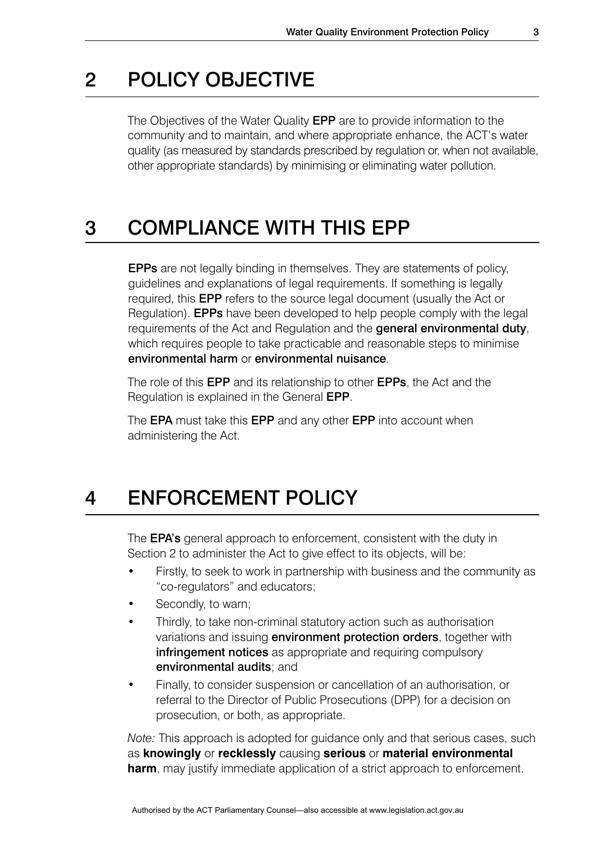### 2 POLICY OBJECTIVE

The Objectives of the Water Quality **EPP** are to provide information to the community and to maintain, and where appropriate enhance, the ACT's water quality (as measured by standards prescribed by regulation or, when not available, other appropriate standards) by minimising or eliminating water pollution.

### 3 COMPLIANCE WITH THIS EPP

EPPs are not legally binding in themselves. They are statements of policy, guidelines and explanations of legal requirements. If something is legally required, this EPP refers to the source legal document (usually the Act or Regulation). EPPs have been developed to help people comply with the legal requirements of the Act and Regulation and the general environmental duty, which requires people to take practicable and reasonable steps to minimise environmental harm or environmental nuisance.

The role of this **EPP** and its relationship to other **EPPs**, the Act and the Regulation is explained in the General EPP.

The **EPA** must take this **EPP** and any other **EPP** into account when administering the Act.

### 4 ENFORCEMENT POLICY

The **EPA's** general approach to enforcement, consistent with the duty in Section 2 to administer the Act to give effect to its objects, will be:

- Firstly, to seek to work in partnership with business and the community as "co-regulators" and educators;
- Secondly, to warn;
- Thirdly, to take non-criminal statutory action such as authorisation variations and issuing **environment protection orders**, together with infringement notices as appropriate and requiring compulsory environmental audits; and
- Finally, to consider suspension or cancellation of an authorisation, or referral to the Director of Public Prosecutions (DPP) for a decision on prosecution, or both, as appropriate.

*Note:* This approach is adopted for guidance only and that serious cases, such as **knowingly** or **recklessly** causing **serious** or **material environmental harm**, may justify immediate application of a strict approach to enforcement.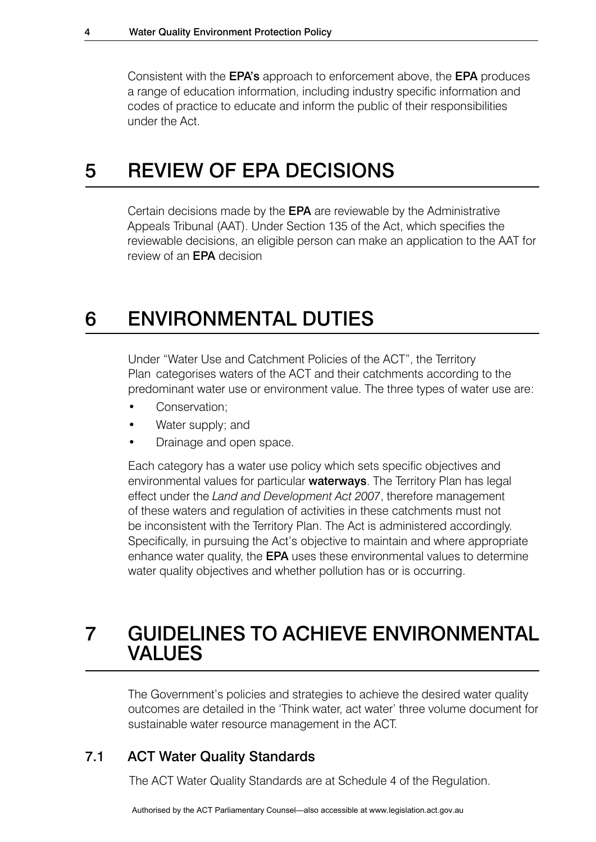Consistent with the EPA's approach to enforcement above, the EPA produces a range of education information, including industry specific information and codes of practice to educate and inform the public of their responsibilities under the Act.

### 5 REVIEW OF EPA DECISIONS

Certain decisions made by the EPA are reviewable by the Administrative Appeals Tribunal (AAT). Under Section 135 of the Act, which specifies the reviewable decisions, an eligible person can make an application to the AAT for review of an EPA decision

### 6 ENVIRONMENTAL DUTIES

Under "Water Use and Catchment Policies of the ACT", the Territory Plan categorises waters of the ACT and their catchments according to the predominant water use or environment value. The three types of water use are:

- Conservation:
- Water supply; and
- Drainage and open space.

Each category has a water use policy which sets specific objectives and environmental values for particular waterways. The Territory Plan has legal effect under the *Land and Development Act 2007*, therefore management of these waters and regulation of activities in these catchments must not be inconsistent with the Territory Plan. The Act is administered accordingly. Specifically, in pursuing the Act's objective to maintain and where appropriate enhance water quality, the **EPA** uses these environmental values to determine water quality objectives and whether pollution has or is occurring.

### 7 GUIDELINES TO ACHIEVE ENVIRONMENTAL VALUES

The Government's policies and strategies to achieve the desired water quality outcomes are detailed in the 'Think water, act water' three volume document for sustainable water resource management in the ACT.

### 7.1 ACT Water Quality Standards

The ACT Water Quality Standards are at Schedule 4 of the Regulation.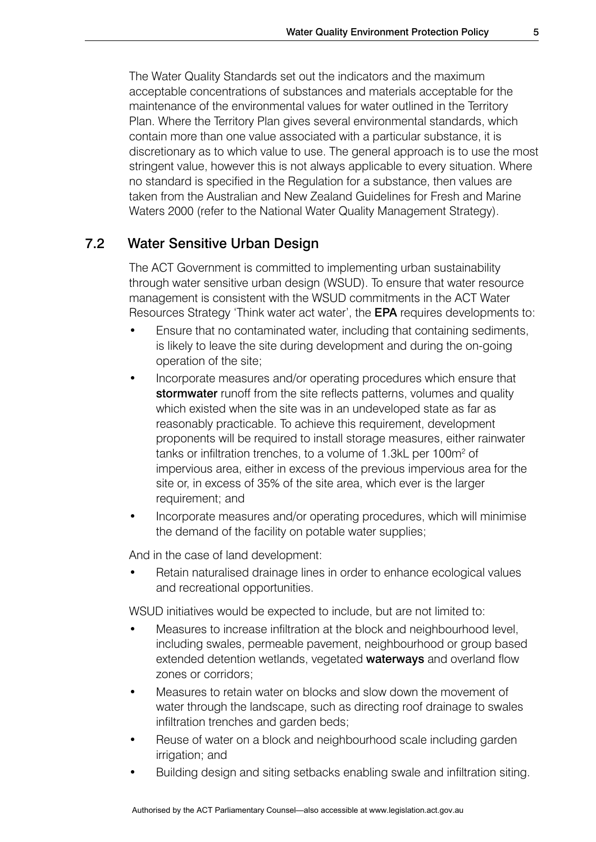The Water Quality Standards set out the indicators and the maximum acceptable concentrations of substances and materials acceptable for the maintenance of the environmental values for water outlined in the Territory Plan. Where the Territory Plan gives several environmental standards, which contain more than one value associated with a particular substance, it is discretionary as to which value to use. The general approach is to use the most stringent value, however this is not always applicable to every situation. Where no standard is specified in the Regulation for a substance, then values are taken from the Australian and New Zealand Guidelines for Fresh and Marine Waters 2000 (refer to the National Water Quality Management Strategy).

### 7.2 Water Sensitive Urban Design

The ACT Government is committed to implementing urban sustainability through water sensitive urban design (WSUD). To ensure that water resource management is consistent with the WSUD commitments in the ACT Water Resources Strategy 'Think water act water', the EPA requires developments to:

- Ensure that no contaminated water, including that containing sediments, is likely to leave the site during development and during the on-going operation of the site;
- Incorporate measures and/or operating procedures which ensure that stormwater runoff from the site reflects patterns, volumes and quality which existed when the site was in an undeveloped state as far as reasonably practicable. To achieve this requirement, development proponents will be required to install storage measures, either rainwater tanks or infiltration trenches, to a volume of 1.3kL per 100m<sup>2</sup> of impervious area, either in excess of the previous impervious area for the site or, in excess of 35% of the site area, which ever is the larger requirement; and
- Incorporate measures and/or operating procedures, which will minimise the demand of the facility on potable water supplies;

And in the case of land development:

Retain naturalised drainage lines in order to enhance ecological values and recreational opportunities.

WSUD initiatives would be expected to include, but are not limited to:

- Measures to increase infiltration at the block and neighbourhood level, including swales, permeable pavement, neighbourhood or group based extended detention wetlands, vegetated **waterways** and overland flow zones or corridors;
- Measures to retain water on blocks and slow down the movement of water through the landscape, such as directing roof drainage to swales infiltration trenches and garden beds;
- Reuse of water on a block and neighbourhood scale including garden irrigation; and
- Building design and siting setbacks enabling swale and infiltration siting.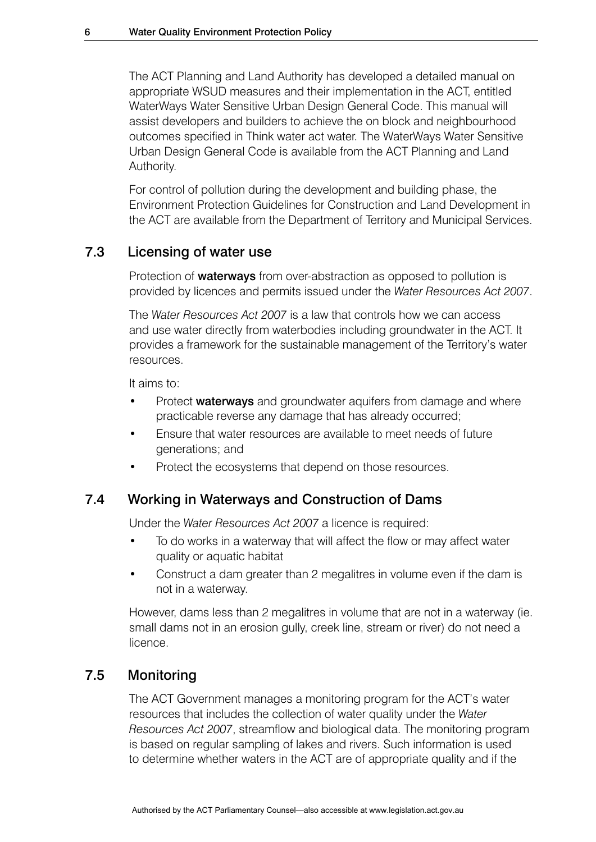The ACT Planning and Land Authority has developed a detailed manual on appropriate WSUD measures and their implementation in the ACT, entitled WaterWays Water Sensitive Urban Design General Code. This manual will assist developers and builders to achieve the on block and neighbourhood outcomes specified in Think water act water. The WaterWays Water Sensitive Urban Design General Code is available from the ACT Planning and Land Authority.

For control of pollution during the development and building phase, the Environment Protection Guidelines for Construction and Land Development in the ACT are available from the Department of Territory and Municipal Services.

### 7.3 Licensing of water use

Protection of **waterways** from over-abstraction as opposed to pollution is provided by licences and permits issued under the *Water Resources Act 2007*.

The *Water Resources Act 2007* is a law that controls how we can access and use water directly from waterbodies including groundwater in the ACT. It provides a framework for the sustainable management of the Territory's water resources.

It aims to:

- Protect **waterways** and groundwater aquifers from damage and where practicable reverse any damage that has already occurred;
- Ensure that water resources are available to meet needs of future generations; and
- Protect the ecosystems that depend on those resources.

### 7.4 Working in Waterways and Construction of Dams

Under the *Water Resources Act 2007* a licence is required:

- To do works in a waterway that will affect the flow or may affect water quality or aquatic habitat
- Construct a dam greater than 2 megalitres in volume even if the dam is not in a waterway.

However, dams less than 2 megalitres in volume that are not in a waterway (ie. small dams not in an erosion gully, creek line, stream or river) do not need a licence.

### 7.5 Monitoring

The ACT Government manages a monitoring program for the ACT's water resources that includes the collection of water quality under the *Water Resources Act 2007*, streamflow and biological data. The monitoring program is based on regular sampling of lakes and rivers. Such information is used to determine whether waters in the ACT are of appropriate quality and if the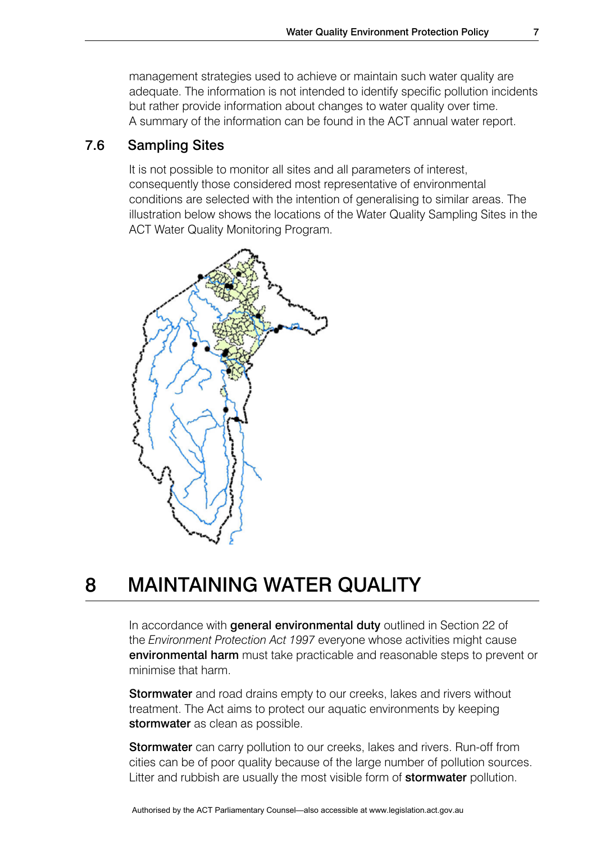management strategies used to achieve or maintain such water quality are adequate. The information is not intended to identify specific pollution incidents but rather provide information about changes to water quality over time. A summary of the information can be found in the ACT annual water report.

### 7.6 Sampling Sites

It is not possible to monitor all sites and all parameters of interest, consequently those considered most representative of environmental conditions are selected with the intention of generalising to similar areas. The illustration below shows the locations of the Water Quality Sampling Sites in the ACT Water Quality Monitoring Program.



# 8 MAINTAINING WATER QUALITY

In accordance with **general environmental duty** outlined in Section 22 of the *Environment Protection Act 1997* everyone whose activities might cause environmental harm must take practicable and reasonable steps to prevent or minimise that harm.

Stormwater and road drains empty to our creeks, lakes and rivers without treatment. The Act aims to protect our aquatic environments by keeping stormwater as clean as possible.

Stormwater can carry pollution to our creeks, lakes and rivers. Run-off from cities can be of poor quality because of the large number of pollution sources. Litter and rubbish are usually the most visible form of **stormwater** pollution.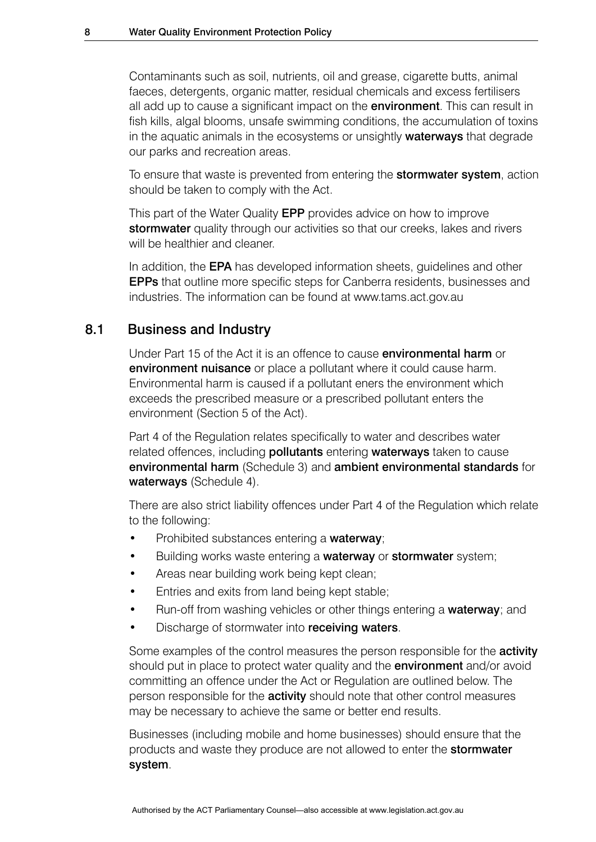Contaminants such as soil, nutrients, oil and grease, cigarette butts, animal faeces, detergents, organic matter, residual chemicals and excess fertilisers all add up to cause a significant impact on the **environment**. This can result in fish kills, algal blooms, unsafe swimming conditions, the accumulation of toxins in the aquatic animals in the ecosystems or unsightly **waterways** that degrade our parks and recreation areas.

To ensure that waste is prevented from entering the **stormwater system**, action should be taken to comply with the Act.

This part of the Water Quality EPP provides advice on how to improve stormwater quality through our activities so that our creeks, lakes and rivers will be healthier and cleaner.

In addition, the **EPA** has developed information sheets, guidelines and other EPPs that outline more specific steps for Canberra residents, businesses and industries. The information can be found at www.tams.act.gov.au

### 8.1 Business and Industry

Under Part 15 of the Act it is an offence to cause **environmental harm** or environment nuisance or place a pollutant where it could cause harm. Environmental harm is caused if a pollutant eners the environment which exceeds the prescribed measure or a prescribed pollutant enters the environment (Section 5 of the Act).

Part 4 of the Regulation relates specifically to water and describes water related offences, including **pollutants** entering **waterways** taken to cause environmental harm (Schedule 3) and ambient environmental standards for waterways (Schedule 4).

There are also strict liability offences under Part 4 of the Regulation which relate to the following:

- Prohibited substances entering a waterway;
- Building works waste entering a waterway or stormwater system;
- Areas near building work being kept clean;
- Entries and exits from land being kept stable;
- Run-off from washing vehicles or other things entering a waterway; and
- Discharge of stormwater into receiving waters.

Some examples of the control measures the person responsible for the **activity** should put in place to protect water quality and the **environment** and/or avoid committing an offence under the Act or Regulation are outlined below. The person responsible for the **activity** should note that other control measures may be necessary to achieve the same or better end results.

Businesses (including mobile and home businesses) should ensure that the products and waste they produce are not allowed to enter the **stormwater** system.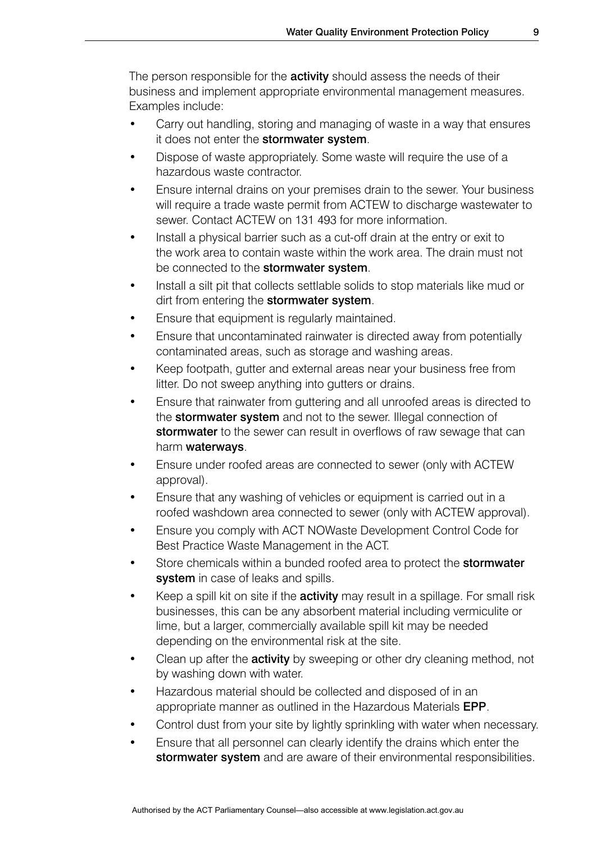The person responsible for the **activity** should assess the needs of their business and implement appropriate environmental management measures. Examples include:

- Carry out handling, storing and managing of waste in a way that ensures it does not enter the stormwater system.
- Dispose of waste appropriately. Some waste will require the use of a hazardous waste contractor.
- Ensure internal drains on your premises drain to the sewer. Your business will require a trade waste permit from ACTEW to discharge wastewater to sewer. Contact ACTEW on 131 493 for more information.
- Install a physical barrier such as a cut-off drain at the entry or exit to the work area to contain waste within the work area. The drain must not be connected to the stormwater system.
- Install a silt pit that collects settlable solids to stop materials like mud or dirt from entering the stormwater system.
- Ensure that equipment is regularly maintained.
- Ensure that uncontaminated rainwater is directed away from potentially contaminated areas, such as storage and washing areas.
- Keep footpath, gutter and external areas near your business free from litter. Do not sweep anything into gutters or drains.
- Ensure that rainwater from guttering and all unroofed areas is directed to the **stormwater system** and not to the sewer. Illegal connection of stormwater to the sewer can result in overflows of raw sewage that can harm waterways.
- Ensure under roofed areas are connected to sewer (only with ACTEW approval).
- Ensure that any washing of vehicles or equipment is carried out in a roofed washdown area connected to sewer (only with ACTEW approval).
- Ensure you comply with ACT NOWaste Development Control Code for Best Practice Waste Management in the ACT.
- Store chemicals within a bunded roofed area to protect the **stormwater** system in case of leaks and spills.
- Keep a spill kit on site if the **activity** may result in a spillage. For small risk businesses, this can be any absorbent material including vermiculite or lime, but a larger, commercially available spill kit may be needed depending on the environmental risk at the site.
- Clean up after the **activity** by sweeping or other dry cleaning method, not by washing down with water.
- Hazardous material should be collected and disposed of in an appropriate manner as outlined in the Hazardous Materials EPP.
- Control dust from your site by lightly sprinkling with water when necessary.
- Ensure that all personnel can clearly identify the drains which enter the stormwater system and are aware of their environmental responsibilities.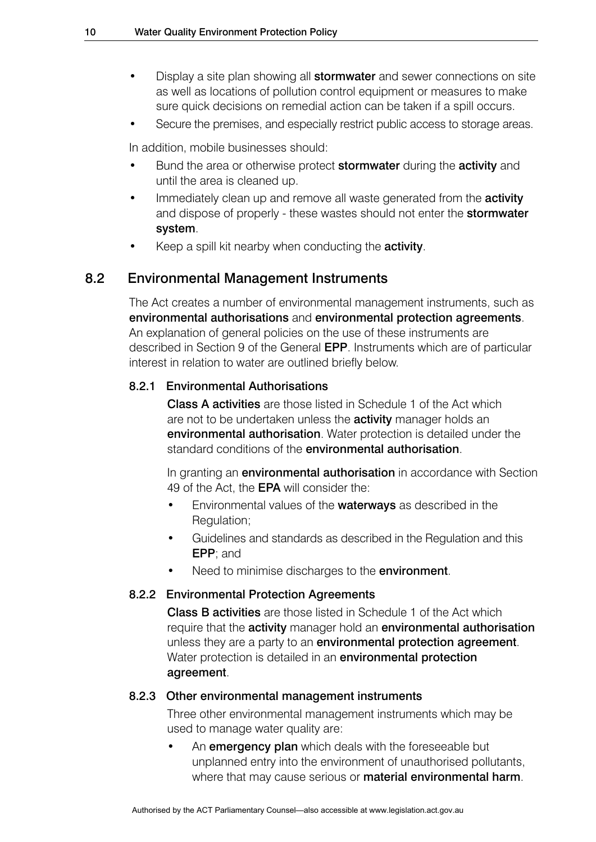- Display a site plan showing all **stormwater** and sewer connections on site as well as locations of pollution control equipment or measures to make sure quick decisions on remedial action can be taken if a spill occurs.
- Secure the premises, and especially restrict public access to storage areas.

In addition, mobile businesses should:

- Bund the area or otherwise protect **stormwater** during the **activity** and until the area is cleaned up.
- Immediately clean up and remove all waste generated from the **activity** and dispose of properly - these wastes should not enter the **stormwater** system.
- Keep a spill kit nearby when conducting the **activity**.

### 8.2 Environmental Management Instruments

The Act creates a number of environmental management instruments, such as environmental authorisations and environmental protection agreements. An explanation of general policies on the use of these instruments are described in Section 9 of the General EPP. Instruments which are of particular interest in relation to water are outlined briefly below.

#### 8.2.1 Environmental Authorisations

Class A activities are those listed in Schedule 1 of the Act which are not to be undertaken unless the **activity** manager holds an environmental authorisation. Water protection is detailed under the standard conditions of the **environmental authorisation**.

In granting an **environmental authorisation** in accordance with Section 49 of the Act, the **EPA** will consider the:

- Environmental values of the waterways as described in the Regulation;
- Guidelines and standards as described in the Regulation and this EPP; and
- Need to minimise discharges to the **environment**.

#### 8.2.2 Environmental Protection Agreements

Class B activities are those listed in Schedule 1 of the Act which require that the **activity** manager hold an **environmental authorisation** unless they are a party to an **environmental protection agreement**. Water protection is detailed in an **environmental protection** agreement.

#### 8.2.3 Other environmental management instruments

Three other environmental management instruments which may be used to manage water quality are:

An **emergency plan** which deals with the foreseeable but unplanned entry into the environment of unauthorised pollutants, where that may cause serious or **material environmental harm**.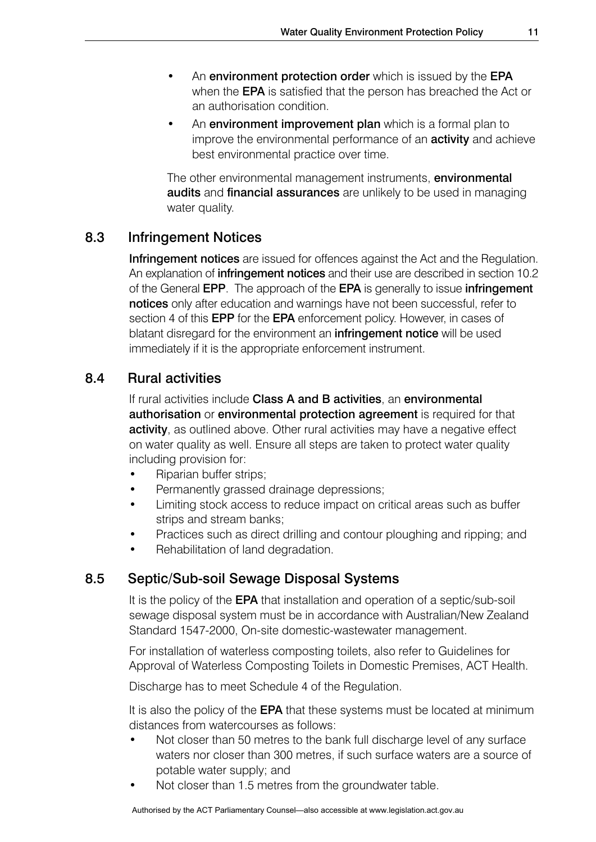- An environment protection order which is issued by the EPA when the **EPA** is satisfied that the person has breached the Act or an authorisation condition.
- An environment improvement plan which is a formal plan to improve the environmental performance of an **activity** and achieve best environmental practice over time.

The other environmental management instruments, environmental audits and financial assurances are unlikely to be used in managing water quality.

### 8.3 Infringement Notices

**Infringement notices** are issued for offences against the Act and the Regulation. An explanation of *infringement notices* and their use are described in section 10.2 of the General EPP. The approach of the EPA is generally to issue infringement notices only after education and warnings have not been successful, refer to section 4 of this **EPP** for the **EPA** enforcement policy. However, in cases of blatant disregard for the environment an *infringement notice* will be used immediately if it is the appropriate enforcement instrument.

### 8.4 Rural activities

If rural activities include Class A and B activities, an environmental authorisation or environmental protection agreement is required for that activity, as outlined above. Other rural activities may have a negative effect on water quality as well. Ensure all steps are taken to protect water quality including provision for:

- Riparian buffer strips;
- Permanently grassed drainage depressions:
- Limiting stock access to reduce impact on critical areas such as buffer strips and stream banks;
- Practices such as direct drilling and contour ploughing and ripping; and
- Rehabilitation of land degradation.

### 8.5 Septic/Sub-soil Sewage Disposal Systems

It is the policy of the **EPA** that installation and operation of a septic/sub-soil sewage disposal system must be in accordance with Australian/New Zealand Standard 1547-2000, On-site domestic-wastewater management.

For installation of waterless composting toilets, also refer to Guidelines for Approval of Waterless Composting Toilets in Domestic Premises, ACT Health.

Discharge has to meet Schedule 4 of the Regulation.

It is also the policy of the **EPA** that these systems must be located at minimum distances from watercourses as follows:

- Not closer than 50 metres to the bank full discharge level of any surface waters nor closer than 300 metres, if such surface waters are a source of potable water supply; and
- Not closer than 1.5 metres from the groundwater table.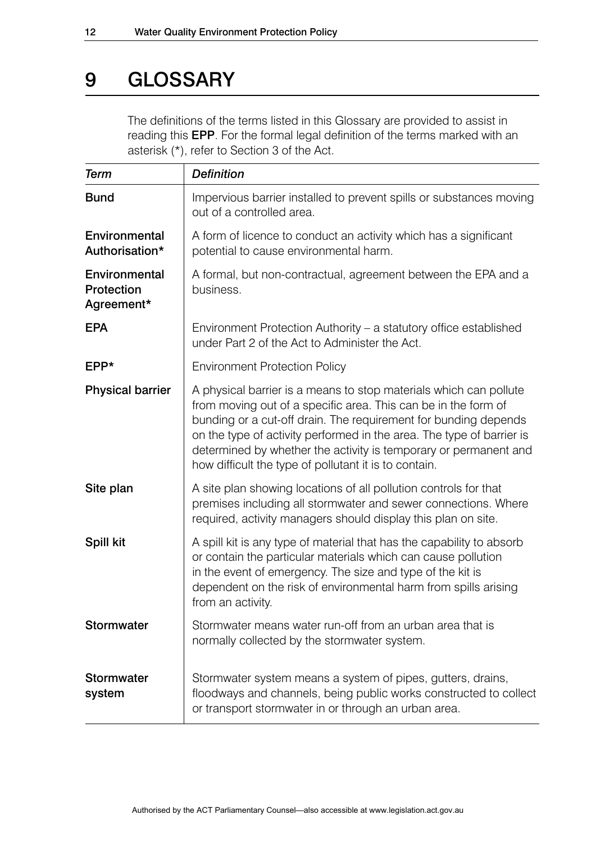### 9 GLOSSARY

The definitions of the terms listed in this Glossary are provided to assist in reading this EPP. For the formal legal definition of the terms marked with an asterisk (\*), refer to Section 3 of the Act.

| <b>Term</b>                               | <b>Definition</b>                                                                                                                                                                                                                                                                                                                                                                                            |
|-------------------------------------------|--------------------------------------------------------------------------------------------------------------------------------------------------------------------------------------------------------------------------------------------------------------------------------------------------------------------------------------------------------------------------------------------------------------|
| <b>Bund</b>                               | Impervious barrier installed to prevent spills or substances moving<br>out of a controlled area.                                                                                                                                                                                                                                                                                                             |
| Environmental<br>Authorisation*           | A form of licence to conduct an activity which has a significant<br>potential to cause environmental harm.                                                                                                                                                                                                                                                                                                   |
| Environmental<br>Protection<br>Agreement* | A formal, but non-contractual, agreement between the EPA and a<br>business.                                                                                                                                                                                                                                                                                                                                  |
| <b>EPA</b>                                | Environment Protection Authority - a statutory office established<br>under Part 2 of the Act to Administer the Act.                                                                                                                                                                                                                                                                                          |
| EPP*                                      | <b>Environment Protection Policy</b>                                                                                                                                                                                                                                                                                                                                                                         |
| <b>Physical barrier</b>                   | A physical barrier is a means to stop materials which can pollute<br>from moving out of a specific area. This can be in the form of<br>bunding or a cut-off drain. The requirement for bunding depends<br>on the type of activity performed in the area. The type of barrier is<br>determined by whether the activity is temporary or permanent and<br>how difficult the type of pollutant it is to contain. |
| Site plan                                 | A site plan showing locations of all pollution controls for that<br>premises including all stormwater and sewer connections. Where<br>required, activity managers should display this plan on site.                                                                                                                                                                                                          |
| Spill kit                                 | A spill kit is any type of material that has the capability to absorb<br>or contain the particular materials which can cause pollution<br>in the event of emergency. The size and type of the kit is<br>dependent on the risk of environmental harm from spills arising<br>from an activity.                                                                                                                 |
| <b>Stormwater</b>                         | Stormwater means water run-off from an urban area that is<br>normally collected by the stormwater system.                                                                                                                                                                                                                                                                                                    |
| <b>Stormwater</b><br>system               | Stormwater system means a system of pipes, gutters, drains,<br>floodways and channels, being public works constructed to collect<br>or transport stormwater in or through an urban area.                                                                                                                                                                                                                     |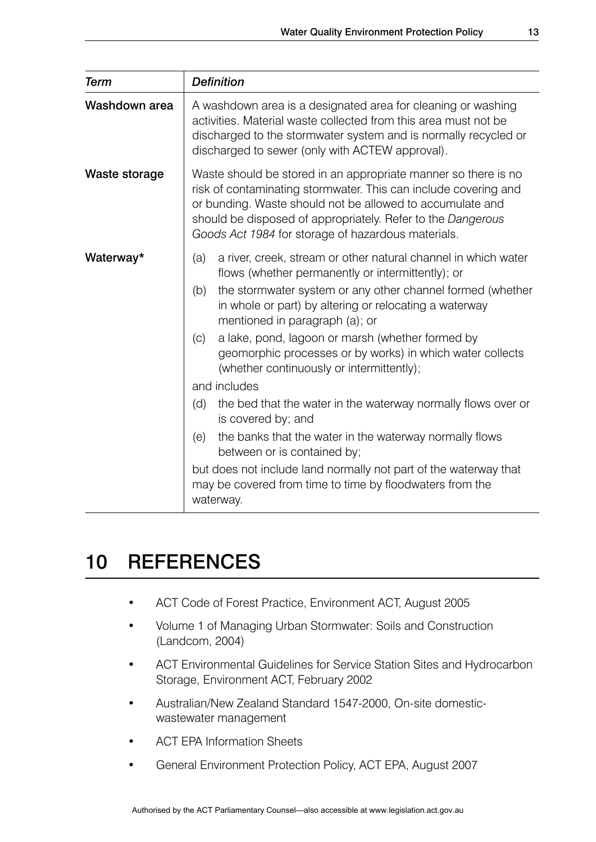| <b>Term</b>   | <b>Definition</b>                                                                                                                                                                                                                                                                                                                                                                                                                                                                                                                                                                                                                                                                                                                                                                                                            |  |
|---------------|------------------------------------------------------------------------------------------------------------------------------------------------------------------------------------------------------------------------------------------------------------------------------------------------------------------------------------------------------------------------------------------------------------------------------------------------------------------------------------------------------------------------------------------------------------------------------------------------------------------------------------------------------------------------------------------------------------------------------------------------------------------------------------------------------------------------------|--|
| Washdown area | A washdown area is a designated area for cleaning or washing<br>activities. Material waste collected from this area must not be<br>discharged to the stormwater system and is normally recycled or<br>discharged to sewer (only with ACTEW approval).                                                                                                                                                                                                                                                                                                                                                                                                                                                                                                                                                                        |  |
| Waste storage | Waste should be stored in an appropriate manner so there is no<br>risk of contaminating stormwater. This can include covering and<br>or bunding. Waste should not be allowed to accumulate and<br>should be disposed of appropriately. Refer to the Dangerous<br>Goods Act 1984 for storage of hazardous materials.                                                                                                                                                                                                                                                                                                                                                                                                                                                                                                          |  |
| Waterway*     | a river, creek, stream or other natural channel in which water<br>(a)<br>flows (whether permanently or intermittently); or<br>the stormwater system or any other channel formed (whether<br>(b)<br>in whole or part) by altering or relocating a waterway<br>mentioned in paragraph (a); or<br>a lake, pond, lagoon or marsh (whether formed by<br>(c)<br>geomorphic processes or by works) in which water collects<br>(whether continuously or intermittently);<br>and includes<br>the bed that the water in the waterway normally flows over or<br>(d)<br>is covered by; and<br>the banks that the water in the waterway normally flows<br>(e)<br>between or is contained by;<br>but does not include land normally not part of the waterway that<br>may be covered from time to time by floodwaters from the<br>waterway. |  |

### 10 REFERENCES

- ACT Code of Forest Practice, Environment ACT, August 2005
- Volume 1 of Managing Urban Stormwater: Soils and Construction (Landcom, 2004)
- ACT Environmental Guidelines for Service Station Sites and Hydrocarbon Storage, Environment ACT, February 2002
- Australian/New Zealand Standard 1547-2000, On-site domesticwastewater management
- **ACT EPA Information Sheets**
- General Environment Protection Policy, ACT EPA, August 2007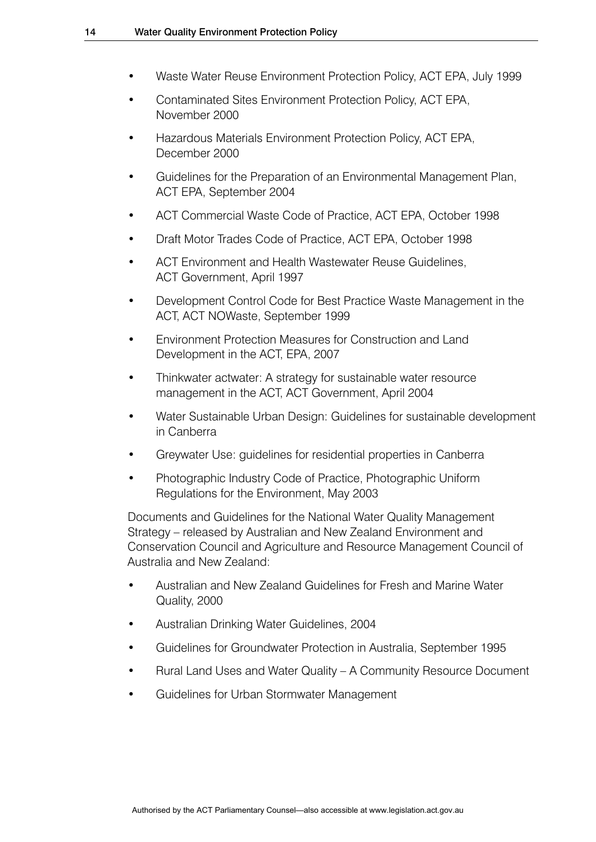- Waste Water Reuse Environment Protection Policy, ACT EPA, July 1999
- Contaminated Sites Environment Protection Policy, ACT EPA, November 2000
- Hazardous Materials Environment Protection Policy, ACT EPA, December 2000
- Guidelines for the Preparation of an Environmental Management Plan, ACT EPA, September 2004
- ACT Commercial Waste Code of Practice, ACT EPA, October 1998
- Draft Motor Trades Code of Practice, ACT EPA, October 1998
- ACT Environment and Health Wastewater Reuse Guidelines, ACT Government, April 1997
- Development Control Code for Best Practice Waste Management in the ACT, ACT NOWaste, September 1999
- Environment Protection Measures for Construction and Land Development in the ACT, EPA, 2007
- Thinkwater actwater: A strategy for sustainable water resource management in the ACT, ACT Government, April 2004
- Water Sustainable Urban Design: Guidelines for sustainable development in Canberra
- Greywater Use: guidelines for residential properties in Canberra
- Photographic Industry Code of Practice, Photographic Uniform Regulations for the Environment, May 2003

Documents and Guidelines for the National Water Quality Management Strategy – released by Australian and New Zealand Environment and Conservation Council and Agriculture and Resource Management Council of Australia and New Zealand:

- Australian and New Zealand Guidelines for Fresh and Marine Water Quality, 2000
- Australian Drinking Water Guidelines, 2004
- Guidelines for Groundwater Protection in Australia, September 1995
- Rural Land Uses and Water Quality A Community Resource Document
- • Guidelines for Urban Stormwater Management